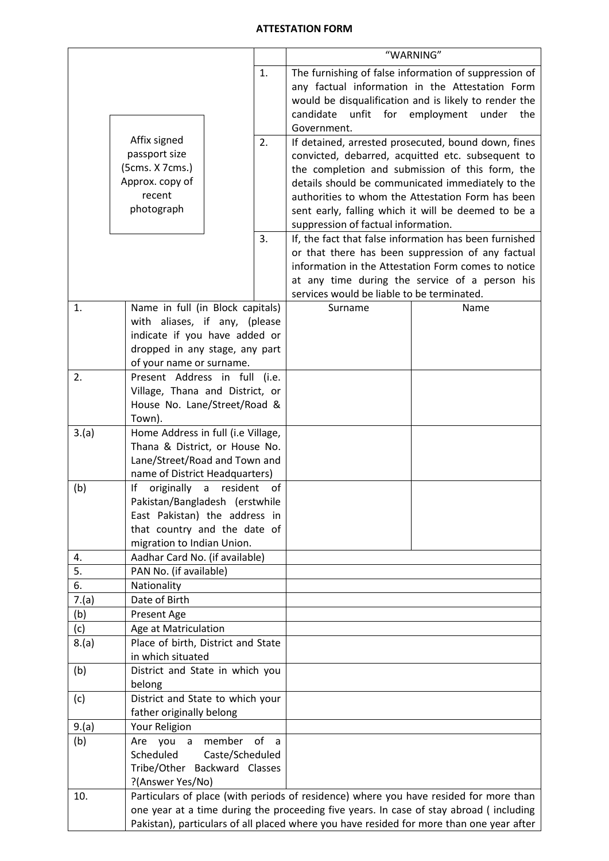## **ATTESTATION FORM**

|          |                                                                      |                                 | "WARNING"                                                                                    |                                                                                                          |  |  |  |  |  |  |
|----------|----------------------------------------------------------------------|---------------------------------|----------------------------------------------------------------------------------------------|----------------------------------------------------------------------------------------------------------|--|--|--|--|--|--|
|          |                                                                      | 1.                              |                                                                                              | The furnishing of false information of suppression of                                                    |  |  |  |  |  |  |
|          |                                                                      |                                 |                                                                                              | any factual information in the Attestation Form                                                          |  |  |  |  |  |  |
|          |                                                                      |                                 |                                                                                              | would be disqualification and is likely to render the                                                    |  |  |  |  |  |  |
|          |                                                                      |                                 | unfit for employment<br>candidate                                                            | under<br>the                                                                                             |  |  |  |  |  |  |
|          | Affix signed                                                         | 2.                              | Government.                                                                                  |                                                                                                          |  |  |  |  |  |  |
|          | passport size                                                        |                                 |                                                                                              | If detained, arrested prosecuted, bound down, fines<br>convicted, debarred, acquitted etc. subsequent to |  |  |  |  |  |  |
|          | (5cms. X 7cms.)                                                      |                                 |                                                                                              | the completion and submission of this form, the                                                          |  |  |  |  |  |  |
|          | Approx. copy of                                                      |                                 |                                                                                              | details should be communicated immediately to the                                                        |  |  |  |  |  |  |
|          | recent                                                               |                                 |                                                                                              | authorities to whom the Attestation Form has been                                                        |  |  |  |  |  |  |
|          | photograph                                                           |                                 |                                                                                              | sent early, falling which it will be deemed to be a                                                      |  |  |  |  |  |  |
|          |                                                                      |                                 | suppression of factual information.                                                          |                                                                                                          |  |  |  |  |  |  |
|          |                                                                      |                                 |                                                                                              | If, the fact that false information has been furnished                                                   |  |  |  |  |  |  |
|          |                                                                      |                                 |                                                                                              | or that there has been suppression of any factual                                                        |  |  |  |  |  |  |
|          |                                                                      |                                 | information in the Attestation Form comes to notice                                          |                                                                                                          |  |  |  |  |  |  |
|          |                                                                      |                                 | at any time during the service of a person his<br>services would be liable to be terminated. |                                                                                                          |  |  |  |  |  |  |
| 1.       | Name in full (in Block capitals)                                     |                                 | Surname                                                                                      | Name                                                                                                     |  |  |  |  |  |  |
|          | with aliases, if any, (please                                        |                                 |                                                                                              |                                                                                                          |  |  |  |  |  |  |
|          | indicate if you have added or                                        |                                 |                                                                                              |                                                                                                          |  |  |  |  |  |  |
|          | dropped in any stage, any part                                       |                                 |                                                                                              |                                                                                                          |  |  |  |  |  |  |
|          | of your name or surname.                                             |                                 |                                                                                              |                                                                                                          |  |  |  |  |  |  |
| 2.       | Present Address in full (i.e.                                        |                                 |                                                                                              |                                                                                                          |  |  |  |  |  |  |
|          | Village, Thana and District, or                                      |                                 |                                                                                              |                                                                                                          |  |  |  |  |  |  |
|          | House No. Lane/Street/Road &                                         |                                 |                                                                                              |                                                                                                          |  |  |  |  |  |  |
|          | Town).                                                               |                                 |                                                                                              |                                                                                                          |  |  |  |  |  |  |
| 3.(a)    | Home Address in full (i.e Village,<br>Thana & District, or House No. |                                 |                                                                                              |                                                                                                          |  |  |  |  |  |  |
|          | Lane/Street/Road and Town and                                        |                                 |                                                                                              |                                                                                                          |  |  |  |  |  |  |
|          | name of District Headquarters)                                       |                                 |                                                                                              |                                                                                                          |  |  |  |  |  |  |
| (b)      | originally<br>lf<br>a                                                | resident of                     |                                                                                              |                                                                                                          |  |  |  |  |  |  |
|          | Pakistan/Bangladesh (erstwhile                                       |                                 |                                                                                              |                                                                                                          |  |  |  |  |  |  |
|          | East Pakistan) the address in                                        |                                 |                                                                                              |                                                                                                          |  |  |  |  |  |  |
|          | that country and the date of                                         |                                 |                                                                                              |                                                                                                          |  |  |  |  |  |  |
|          | migration to Indian Union.                                           |                                 |                                                                                              |                                                                                                          |  |  |  |  |  |  |
| 4.<br>5. | Aadhar Card No. (if available)<br>PAN No. (if available)             |                                 |                                                                                              |                                                                                                          |  |  |  |  |  |  |
| 6.       | Nationality                                                          |                                 |                                                                                              |                                                                                                          |  |  |  |  |  |  |
| 7.(a)    | Date of Birth                                                        |                                 |                                                                                              |                                                                                                          |  |  |  |  |  |  |
| (b)      | Present Age                                                          |                                 |                                                                                              |                                                                                                          |  |  |  |  |  |  |
| (c)      | Age at Matriculation                                                 |                                 |                                                                                              |                                                                                                          |  |  |  |  |  |  |
| 8.(a)    | Place of birth, District and State                                   |                                 |                                                                                              |                                                                                                          |  |  |  |  |  |  |
|          | in which situated                                                    |                                 |                                                                                              |                                                                                                          |  |  |  |  |  |  |
| (b)      | District and State in which you                                      |                                 |                                                                                              |                                                                                                          |  |  |  |  |  |  |
|          | belong<br>District and State to which your                           |                                 |                                                                                              |                                                                                                          |  |  |  |  |  |  |
| (c)      | father originally belong                                             |                                 |                                                                                              |                                                                                                          |  |  |  |  |  |  |
| 9.(a)    | Your Religion                                                        |                                 |                                                                                              |                                                                                                          |  |  |  |  |  |  |
| (b)      | you<br>Are                                                           | o <sub>f</sub><br>a member<br>a |                                                                                              |                                                                                                          |  |  |  |  |  |  |
|          | Scheduled                                                            | Caste/Scheduled                 |                                                                                              |                                                                                                          |  |  |  |  |  |  |
|          | Tribe/Other Backward Classes                                         |                                 |                                                                                              |                                                                                                          |  |  |  |  |  |  |
|          | ?(Answer Yes/No)                                                     |                                 |                                                                                              |                                                                                                          |  |  |  |  |  |  |
| 10.      |                                                                      |                                 |                                                                                              | Particulars of place (with periods of residence) where you have resided for more than                    |  |  |  |  |  |  |
|          |                                                                      |                                 |                                                                                              | one year at a time during the proceeding five years. In case of stay abroad (including                   |  |  |  |  |  |  |
|          |                                                                      |                                 |                                                                                              | Pakistan), particulars of all placed where you have resided for more than one year after                 |  |  |  |  |  |  |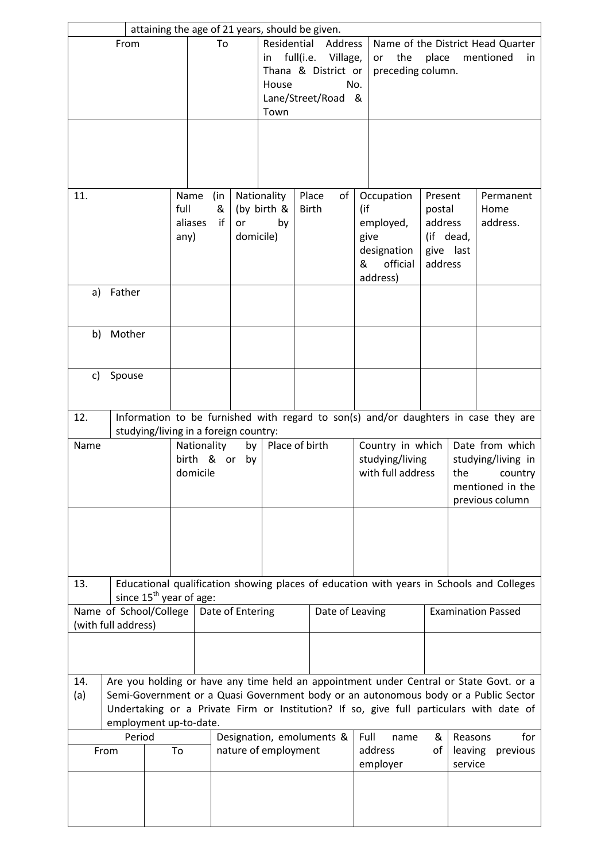|                                                |                                                                                                                                                                                                                                                                          | attaining the age of 21 years, should be given. |                                                   |                                                                                                                  |                 |                |                       |                                                          |                                |                                                                                                |                                                                   |  |                 |                       |
|------------------------------------------------|--------------------------------------------------------------------------------------------------------------------------------------------------------------------------------------------------------------------------------------------------------------------------|-------------------------------------------------|---------------------------------------------------|------------------------------------------------------------------------------------------------------------------|-----------------|----------------|-----------------------|----------------------------------------------------------|--------------------------------|------------------------------------------------------------------------------------------------|-------------------------------------------------------------------|--|-----------------|-----------------------|
| From                                           |                                                                                                                                                                                                                                                                          | To                                              |                                                   | Residential<br>Address<br>full(i.e. Village,<br>in<br>Thana & District or<br>House<br>Lane/Street/Road &<br>Town |                 |                | No.                   |                                                          | the<br>or<br>preceding column. | Name of the District Head Quarter<br>place<br>mentioned<br>in                                  |                                                                   |  |                 |                       |
|                                                |                                                                                                                                                                                                                                                                          |                                                 |                                                   |                                                                                                                  |                 |                |                       |                                                          |                                |                                                                                                |                                                                   |  |                 |                       |
| 11.                                            | full<br>any)                                                                                                                                                                                                                                                             |                                                 | (in<br>Name<br>&<br>aliases<br>if                 | Nationality<br>(by birth &<br>or<br>by<br>domicile)                                                              |                 |                | Place<br><b>Birth</b> | of<br>(if<br>give<br>&                                   |                                | Occupation<br>employed,<br>designation<br>official<br>address)                                 | Present<br>postal<br>address<br>(if dead,<br>give last<br>address |  | Home            | Permanent<br>address. |
| a)                                             | Father                                                                                                                                                                                                                                                                   |                                                 |                                                   |                                                                                                                  |                 |                |                       |                                                          |                                |                                                                                                |                                                                   |  |                 |                       |
| b)                                             | Mother                                                                                                                                                                                                                                                                   |                                                 |                                                   |                                                                                                                  |                 |                |                       |                                                          |                                |                                                                                                |                                                                   |  |                 |                       |
| C)                                             | Spouse                                                                                                                                                                                                                                                                   |                                                 |                                                   |                                                                                                                  |                 |                |                       |                                                          |                                |                                                                                                |                                                                   |  |                 |                       |
| 12.                                            |                                                                                                                                                                                                                                                                          | studying/living in a foreign country:           |                                                   |                                                                                                                  |                 |                |                       |                                                          |                                | Information to be furnished with regard to son(s) and/or daughters in case they are            |                                                                   |  |                 |                       |
| Name                                           |                                                                                                                                                                                                                                                                          | Nationality<br>domicile                         | by<br>birth & or<br>by                            |                                                                                                                  |                 | Place of birth |                       | Country in which<br>studying/living<br>with full address |                                | Date from which<br>studying/living in<br>the<br>country<br>mentioned in the<br>previous column |                                                                   |  |                 |                       |
|                                                |                                                                                                                                                                                                                                                                          |                                                 |                                                   |                                                                                                                  |                 |                |                       |                                                          |                                |                                                                                                |                                                                   |  |                 |                       |
| 13.                                            |                                                                                                                                                                                                                                                                          | since $15^{th}$ year of age:                    |                                                   |                                                                                                                  |                 |                |                       |                                                          |                                | Educational qualification showing places of education with years in Schools and Colleges       |                                                                   |  |                 |                       |
| Name of School/College<br>(with full address)  |                                                                                                                                                                                                                                                                          | Date of Entering                                |                                                   |                                                                                                                  | Date of Leaving |                |                       |                                                          |                                | <b>Examination Passed</b>                                                                      |                                                                   |  |                 |                       |
| 14.<br>(a)                                     | Are you holding or have any time held an appointment under Central or State Govt. or a<br>Semi-Government or a Quasi Government body or an autonomous body or a Public Sector<br>Undertaking or a Private Firm or Institution? If so, give full particulars with date of |                                                 |                                                   |                                                                                                                  |                 |                |                       |                                                          |                                |                                                                                                |                                                                   |  |                 |                       |
| employment up-to-date.<br>Period<br>To<br>From |                                                                                                                                                                                                                                                                          |                                                 | Designation, emoluments &<br>nature of employment |                                                                                                                  |                 |                |                       | Full<br>name<br>address<br>employer                      |                                | &<br>οf                                                                                        | Reasons<br>leaving<br>service                                     |  | for<br>previous |                       |
|                                                |                                                                                                                                                                                                                                                                          |                                                 |                                                   |                                                                                                                  |                 |                |                       |                                                          |                                |                                                                                                |                                                                   |  |                 |                       |